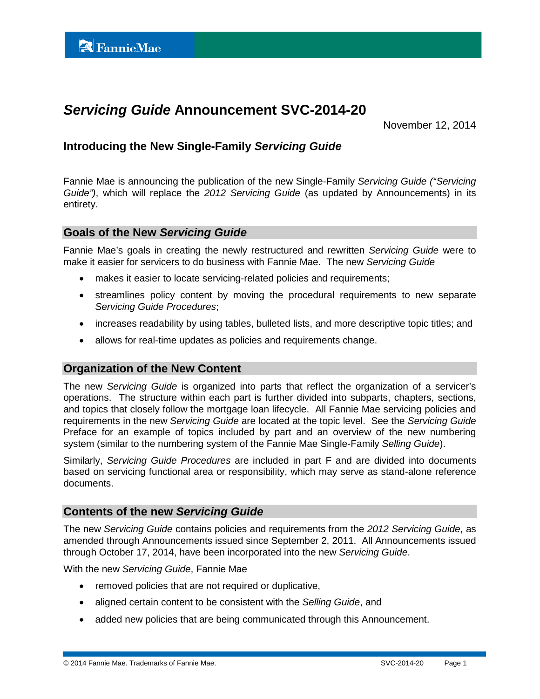# *Servicing Guide* **Announcement SVC-2014-20**

November 12, 2014

# **Introducing the New Single-Family** *Servicing Guide*

Fannie Mae is announcing the publication of the new Single-Family *Servicing Guide ("Servicing Guide")*, which will replace the *2012 Servicing Guide* (as updated by Announcements) in its entirety.

## **Goals of the New** *Servicing Guide*

Fannie Mae's goals in creating the newly restructured and rewritten *Servicing Guide* were to make it easier for servicers to do business with Fannie Mae. The new *Servicing Guide*

- makes it easier to locate servicing-related policies and requirements;
- streamlines policy content by moving the procedural requirements to new separate *Servicing Guide Procedures*;
- increases readability by using tables, bulleted lists, and more descriptive topic titles; and
- allows for real-time updates as policies and requirements change.

## **Organization of the New Content**

The new *Servicing Guide* is organized into parts that reflect the organization of a servicer's operations. The structure within each part is further divided into subparts, chapters, sections, and topics that closely follow the mortgage loan lifecycle. All Fannie Mae servicing policies and requirements in the new *Servicing Guide* are located at the topic level. See the *Servicing Guide* Preface for an example of topics included by part and an overview of the new numbering system (similar to the numbering system of the Fannie Mae Single-Family *Selling Guide*).

Similarly, *Servicing Guide Procedures* are included in part F and are divided into documents based on servicing functional area or responsibility, which may serve as stand-alone reference documents.

## **Contents of the new** *Servicing Guide*

The new *Servicing Guide* contains policies and requirements from the *2012 Servicing Guide*, as amended through Announcements issued since September 2, 2011. All Announcements issued through October 17, 2014, have been incorporated into the new *Servicing Guide*.

With the new *Servicing Guide*, Fannie Mae

- removed policies that are not required or duplicative,
- aligned certain content to be consistent with the *Selling Guide*, and
- added new policies that are being communicated through this Announcement.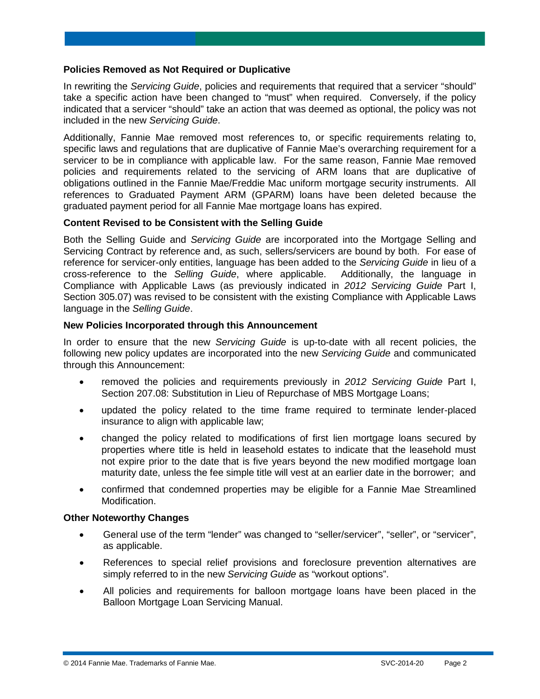#### **Policies Removed as Not Required or Duplicative**

In rewriting the *Servicing Guide*, policies and requirements that required that a servicer "should" take a specific action have been changed to "must" when required. Conversely, if the policy indicated that a servicer "should" take an action that was deemed as optional, the policy was not included in the new *Servicing Guide*.

Additionally, Fannie Mae removed most references to, or specific requirements relating to, specific laws and regulations that are duplicative of Fannie Mae's overarching requirement for a servicer to be in compliance with applicable law. For the same reason, Fannie Mae removed policies and requirements related to the servicing of ARM loans that are duplicative of obligations outlined in the Fannie Mae/Freddie Mac uniform mortgage security instruments. All references to Graduated Payment ARM (GPARM) loans have been deleted because the graduated payment period for all Fannie Mae mortgage loans has expired.

#### **Content Revised to be Consistent with the Selling Guide**

Both the Selling Guide and *Servicing Guide* are incorporated into the Mortgage Selling and Servicing Contract by reference and, as such, sellers/servicers are bound by both. For ease of reference for servicer-only entities, language has been added to the *Servicing Guide* in lieu of a cross-reference to the *Selling Guide*, where applicable. Additionally, the language in Compliance with Applicable Laws (as previously indicated in *2012 Servicing Guide* Part I, Section 305.07) was revised to be consistent with the existing Compliance with Applicable Laws language in the *Selling Guide*.

## **New Policies Incorporated through this Announcement**

In order to ensure that the new *Servicing Guide* is up-to-date with all recent policies, the following new policy updates are incorporated into the new *Servicing Guide* and communicated through this Announcement:

- removed the policies and requirements previously in *2012 Servicing Guide* Part I, Section 207.08: Substitution in Lieu of Repurchase of MBS Mortgage Loans;
- updated the policy related to the time frame required to terminate lender-placed insurance to align with applicable law;
- changed the policy related to modifications of first lien mortgage loans secured by properties where title is held in leasehold estates to indicate that the leasehold must not expire prior to the date that is five years beyond the new modified mortgage loan maturity date, unless the fee simple title will vest at an earlier date in the borrower; and
- confirmed that condemned properties may be eligible for a Fannie Mae Streamlined Modification.

#### **Other Noteworthy Changes**

- General use of the term "lender" was changed to "seller/servicer", "seller", or "servicer", as applicable.
- References to special relief provisions and foreclosure prevention alternatives are simply referred to in the new *Servicing Guide* as "workout options".
- All policies and requirements for balloon mortgage loans have been placed in the Balloon Mortgage Loan Servicing Manual.